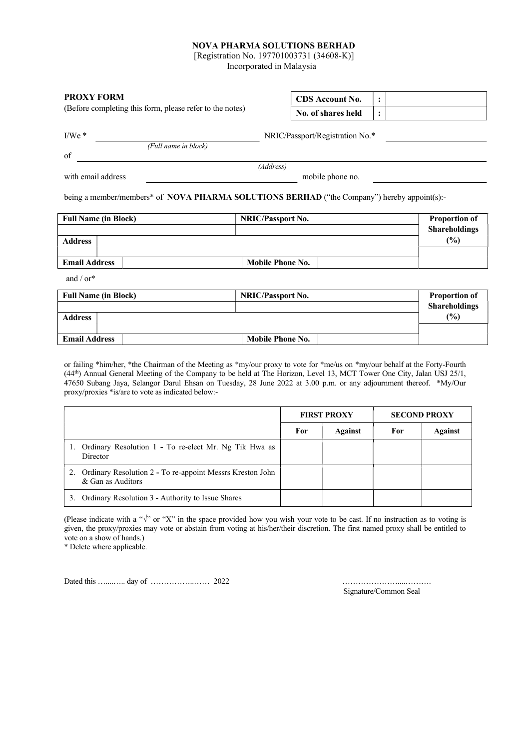## NOVA PHARMA SOLUTIONS BERHAD

[Registration No. 197701003731 (34608-K)]

Incorporated in Malaysia

| <b>PROXY FORM</b><br>(Before completing this form, please refer to the notes) |                      | <b>CDS</b> Account No.                                                                      | $\ddot{\cdot}$       |
|-------------------------------------------------------------------------------|----------------------|---------------------------------------------------------------------------------------------|----------------------|
|                                                                               |                      | No. of shares held                                                                          | $\ddot{\cdot}$       |
| $I/We$ *                                                                      |                      | NRIC/Passport/Registration No.*                                                             |                      |
| of                                                                            | (Full name in block) |                                                                                             |                      |
|                                                                               |                      | (Address)                                                                                   |                      |
| with email address                                                            |                      | mobile phone no.                                                                            |                      |
|                                                                               |                      | being a member/members* of NOVA PHARMA SOLUTIONS BERHAD ("the Company") hereby appoint(s):- |                      |
| <b>Full Name (in Block)</b>                                                   |                      | NRIC/Passport No.                                                                           | <b>Proportion of</b> |
|                                                                               |                      |                                                                                             | <b>Shareholdings</b> |
| <b>Address</b>                                                                |                      |                                                                                             | $(\%)$               |
|                                                                               |                      |                                                                                             |                      |
| <b>Email Address</b>                                                          |                      | <b>Mobile Phone No.</b>                                                                     |                      |
| and / or*                                                                     |                      |                                                                                             |                      |
| <b>Full Name (in Block)</b>                                                   |                      | <b>NRIC/Passport No.</b>                                                                    | <b>Proportion of</b> |
|                                                                               |                      |                                                                                             | <b>Shareholdings</b> |
| <b>Address</b>                                                                |                      |                                                                                             | (%)                  |
|                                                                               |                      |                                                                                             |                      |
| <b>Email Address</b>                                                          |                      | <b>Mobile Phone No.</b>                                                                     |                      |

or failing \*him/her, \*the Chairman of the Meeting as \*my/our proxy to vote for \*me/us on \*my/our behalf at the Forty-Fourth (44th) Annual General Meeting of the Company to be held at The Horizon, Level 13, MCT Tower One City, Jalan USJ 25/1, 47650 Subang Jaya, Selangor Darul Ehsan on Tuesday, 28 June 2022 at 3.00 p.m. or any adjournment thereof. \*My/Our proxy/proxies \*is/are to vote as indicated below:-

|                                                                                | <b>FIRST PROXY</b> |                | <b>SECOND PROXY</b> |                |
|--------------------------------------------------------------------------------|--------------------|----------------|---------------------|----------------|
|                                                                                | For                | <b>Against</b> | For                 | <b>Against</b> |
| Ordinary Resolution 1 - To re-elect Mr. Ng Tik Hwa as<br>Director              |                    |                |                     |                |
| Ordinary Resolution 2 - To re-appoint Messrs Kreston John<br>& Gan as Auditors |                    |                |                     |                |
| Ordinary Resolution 3 - Authority to Issue Shares<br>3.                        |                    |                |                     |                |

(Please indicate with a " $\sqrt{$ " or "X" in the space provided how you wish your vote to be cast. If no instruction as to voting is given, the proxy/proxies may vote or abstain from voting at his/her/their discretion. The first named proxy shall be entitled to vote on a show of hands.)

\* Delete where applicable.

Dated this …....….. day of ……………..…… 2022 …………………....……….

Signature/Common Seal